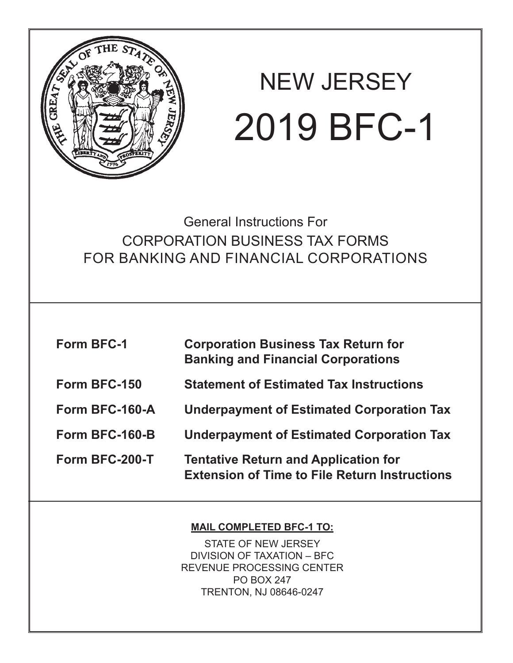

# NEW JERSEY 2019 BFC-1

General Instructions For CORPORATION BUSINESS TAX FORMS FOR BANKING AND FINANCIAL CORPORATIONS

| <b>Form BFC-1</b> | <b>Corporation Business Tax Return for</b><br><b>Banking and Financial Corporations</b>             |
|-------------------|-----------------------------------------------------------------------------------------------------|
| Form BFC-150      | <b>Statement of Estimated Tax Instructions</b>                                                      |
| Form BFC-160-A    | <b>Underpayment of Estimated Corporation Tax</b>                                                    |
| Form BFC-160-B    | <b>Underpayment of Estimated Corporation Tax</b>                                                    |
| Form BFC-200-T    | <b>Tentative Return and Application for</b><br><b>Extension of Time to File Return Instructions</b> |

### **MAIL COMPLETED BFC-1 TO:**

STATE OF NEW JERSEY DIVISION OF TAXATION – BFC REVENUE PROCESSING CENTER PO BOX 247 TRENTON, NJ 08646-0247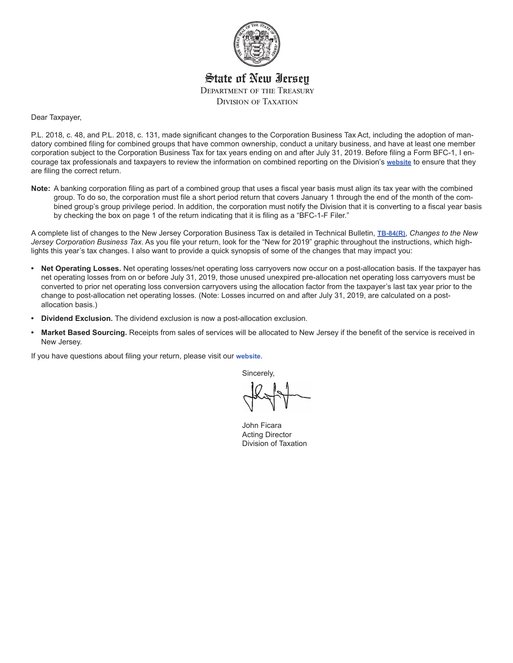

State of New Jersey Department of the Treasury Division of Taxation

Dear Taxpayer,

P.L. 2018, c. 48, and P.L. 2018, c. 131, made significant changes to the Corporation Business Tax Act, including the adoption of mandatory combined filing for combined groups that have common ownership, conduct a unitary business, and have at least one member corporation subject to the Corporation Business Tax for tax years ending on and after July 31, 2019. Before filing a Form BFC-1, I encourage tax professionals and taxpayers to review the information on combined reporting on the Division's **[website](https://www.state.nj.us/treasury/taxation/cbt/cbtreform.shtml)** to ensure that they are filing the correct return.

**Note:** A banking corporation filing as part of a combined group that uses a fiscal year basis must align its tax year with the combined group. To do so, the corporation must file a short period return that covers January 1 through the end of the month of the combined group's group privilege period. In addition, the corporation must notify the Division that it is converting to a fiscal year basis by checking the box on page 1 of the return indicating that it is filing as a "BFC-1-F Filer."

A complete list of changes to the New Jersey Corporation Business Tax is detailed in Technical Bulletin, **[TB-84\(R\)](https://www.state.nj.us/treasury/taxation/pdf/pubs/tb/tb84.pdf)**, *Changes to the New Jersey Corporation Business Tax.* As you file your return, look for the "New for 2019" graphic throughout the instructions, which highlights this year's tax changes. I also want to provide a quick synopsis of some of the changes that may impact you:

- **• Net Operating Losses.** Net operating losses/net operating loss carryovers now occur on a post-allocation basis. If the taxpayer has net operating losses from on or before July 31, 2019, those unused unexpired pre-allocation net operating loss carryovers must be converted to prior net operating loss conversion carryovers using the allocation factor from the taxpayer's last tax year prior to the change to post-allocation net operating losses. (Note: Losses incurred on and after July 31, 2019, are calculated on a postallocation basis.)
- **• Dividend Exclusion.** The dividend exclusion is now a post-allocation exclusion.
- **• Market Based Sourcing.** Receipts from sales of services will be allocated to New Jersey if the benefit of the service is received in New Jersey.

If you have questions about filing your return, please visit our **[website](https://www.state.nj.us/treasury/taxation/cbt/cbtreform.shtml)**.

Sincerely,

 John Ficara Acting Director Division of Taxation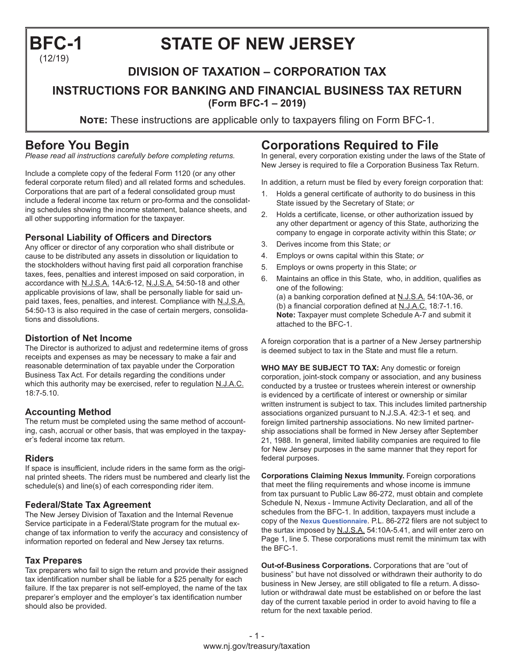## **BFC-1 STATE OF NEW JERSEY** (12/19)

### **DIVISION OF TAXATION – CORPORATION TAX**

#### **INSTRUCTIONS FOR BANKING AND FINANCIAL BUSINESS TAX RETURN (Form BFC-1 – 2019)**

**NOTE:** These instructions are applicable only to taxpayers filing on Form BFC-1.

### **Before You Begin**

*Please read all instructions carefully before completing returns.*

Include a complete copy of the federal Form 1120 (or any other federal corporate return filed) and all related forms and schedules. Corporations that are part of a federal consolidated group must include a federal income tax return or pro-forma and the consolidating schedules showing the income statement, balance sheets, and all other supporting information for the taxpayer.

#### **Personal Liability of Officers and Directors**

Any officer or director of any corporation who shall distribute or cause to be distributed any assets in dissolution or liquidation to the stockholders without having first paid all corporation franchise taxes, fees, penalties and interest imposed on said corporation, in accordance with N.J.S.A. 14A:6-12, N.J.S.A. 54:50-18 and other applicable provisions of law, shall be personally liable for said unpaid taxes, fees, penalties, and interest. Compliance with N.J.S.A. 54:50-13 is also required in the case of certain mergers, consolidations and dissolutions.

#### **Distortion of Net Income**

The Director is authorized to adjust and redetermine items of gross receipts and expenses as may be necessary to make a fair and reasonable determination of tax payable under the Corporation Business Tax Act. For details regarding the conditions under which this authority may be exercised, refer to regulation N.J.A.C. 18:7-5.10.

#### **Accounting Method**

The return must be completed using the same method of accounting, cash, accrual or other basis, that was employed in the taxpayer's federal income tax return.

#### **Riders**

If space is insufficient, include riders in the same form as the original printed sheets. The riders must be numbered and clearly list the schedule(s) and line(s) of each corresponding rider item.

#### **Federal/State Tax Agreement**

The New Jersey Division of Taxation and the Internal Revenue Service participate in a Federal/State program for the mutual exchange of tax information to verify the accuracy and consistency of information reported on federal and New Jersey tax returns.

#### **Tax Prepares**

Tax preparers who fail to sign the return and provide their assigned tax identification number shall be liable for a \$25 penalty for each failure. If the tax preparer is not self-employed, the name of the tax preparer's employer and the employer's tax identification number should also be provided.

### **Corporations Required to File**

In general, every corporation existing under the laws of the State of New Jersey is required to file a Corporation Business Tax Return.

In addition, a return must be filed by every foreign corporation that:

- 1. Holds a general certificate of authority to do business in this State issued by the Secretary of State; *or*
- 2. Holds a certificate, license, or other authorization issued by any other department or agency of this State, authorizing the company to engage in corporate activity within this State; *or*
- 3. Derives income from this State; *or*

attached to the BFC-1.

- 4. Employs or owns capital within this State; *or*
- 5. Employs or owns property in this State; *or*
- 6. Maintains an office in this State, who, in addition, qualifies as one of the following: (a) a banking corporation defined at N.J.S.A. 54:10A-36, or (b) a financial corporation defined at N.J.A.C. 18:7-1.16. **Note:** Taxpayer must complete Schedule A-7 and submit it

A foreign corporation that is a partner of a New Jersey partnership is deemed subject to tax in the State and must file a return.

**WHO MAY BE SUBJECT TO TAX:** Any domestic or foreign corporation, joint-stock company or association, and any business conducted by a trustee or trustees wherein interest or ownership is evidenced by a certificate of interest or ownership or similar written instrument is subject to tax. This includes limited partnership associations organized pursuant to N.J.S.A. 42:3-1 et seq. and foreign limited partnership associations. No new limited partnership associations shall be formed in New Jersey after September 21, 1988. In general, limited liability companies are required to file for New Jersey purposes in the same manner that they report for federal purposes.

**Corporations Claiming Nexus Immunity.** Foreign corporations that meet the filing requirements and whose income is immune from tax pursuant to Public Law 86-272, must obtain and complete Schedule N, Nexus - Immune Activity Declaration, and all of the schedules from the BFC-1. In addition, taxpayers must include a copy of the **[Nexus Questionnaire](http://www.state.nj.us/treasury/taxation/pdf/other_forms/misc/
nexus_survey.pdf)**. P.L. 86-272 filers are not subject to the surtax imposed by N.J.S.A. 54:10A-5.41, and will enter zero on Page 1, line 5. These corporations must remit the minimum tax with the BFC-1.

**Out-of-Business Corporations.** Corporations that are "out of business" but have not dissolved or withdrawn their authority to do business in New Jersey, are still obligated to file a return. A dissolution or withdrawal date must be established on or before the last day of the current taxable period in order to avoid having to file a return for the next taxable period.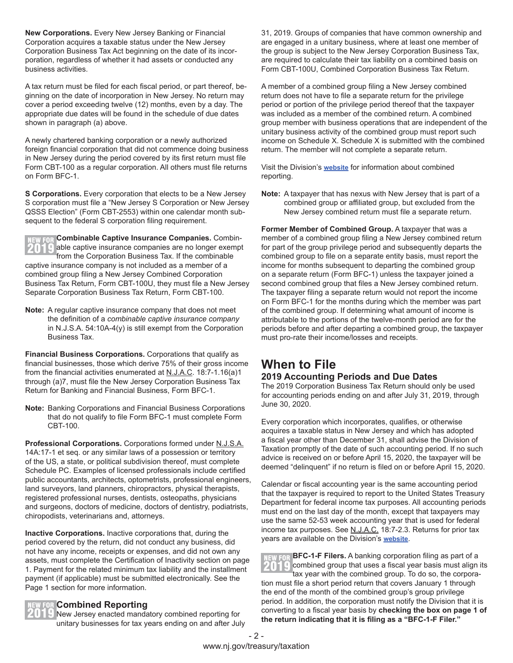**New Corporations.** Every New Jersey Banking or Financial Corporation acquires a taxable status under the New Jersey Corporation Business Tax Act beginning on the date of its incorporation, regardless of whether it had assets or conducted any business activities.

A tax return must be filed for each fiscal period, or part thereof, beginning on the date of incorporation in New Jersey. No return may cover a period exceeding twelve (12) months, even by a day. The appropriate due dates will be found in the schedule of due dates shown in paragraph (a) above.

A newly chartered banking corporation or a newly authorized foreign financial corporation that did not commence doing business in New Jersey during the period covered by its first return must file Form CBT-100 as a regular corporation. All others must file returns on Form BFC-1.

**S Corporations.** Every corporation that elects to be a New Jersey S corporation must file a "New Jersey S Corporation or New Jersey QSSS Election" (Form CBT-2553) within one calendar month subsequent to the federal S corporation filing requirement.

**NEW FOR Combinable Captive Insurance Companies.** Combin- $\mathcal{I}[\mathbf{t}]$  able captive insurance companies are no longer exempt from the Corporation Business Tax. If the combinable captive insurance company is not included as a member of a combined group filing a New Jersey Combined Corporation Business Tax Return, Form CBT-100U, they must file a New Jersey Separate Corporation Business Tax Return, Form CBT-100.

**Note:** A regular captive insurance company that does not meet the definition of a *combinable captive insurance company* in N.J.S.A. 54:10A-4(y) is still exempt from the Corporation Business Tax.

**Financial Business Corporations.** Corporations that qualify as financial businesses, those which derive 75% of their gross income from the financial activities enumerated at N.J.A.C. 18:7-1.16(a)1 through (a)7, must file the New Jersey Corporation Business Tax Return for Banking and Financial Business, Form BFC-1.

**Note:** Banking Corporations and Financial Business Corporations that do not qualify to file Form BFC-1 must complete Form CBT-100.

**Professional Corporations.** Corporations formed under N.J.S.A. 14A:17-1 et seq. or any similar laws of a possession or territory of the US, a state, or political subdivision thereof, must complete Schedule PC. Examples of licensed professionals include certified public accountants, architects, optometrists, professional engineers, land surveyors, land planners, chiropractors, physical therapists, registered professional nurses, dentists, osteopaths, physicians and surgeons, doctors of medicine, doctors of dentistry, podiatrists, chiropodists, veterinarians and, attorneys.

**Inactive Corporations.** Inactive corporations that, during the period covered by the return, did not conduct any business, did not have any income, receipts or expenses, and did not own any assets, must complete the Certification of Inactivity section on page 1. Payment for the related minimum tax liability and the installment payment (if applicable) must be submitted electronically. See the Page 1 section for more information.

#### **Combined Reporting**

New Jersey enacted mandatory combined reporting for unitary businesses for tax years ending on and after July 31, 2019. Groups of companies that have common ownership and are engaged in a unitary business, where at least one member of the group is subject to the New Jersey Corporation Business Tax, are required to calculate their tax liability on a combined basis on Form CBT-100U, Combined Corporation Business Tax Return.

A member of a combined group filing a New Jersey combined return does not have to file a separate return for the privilege period or portion of the privilege period thereof that the taxpayer was included as a member of the combined return. A combined group member with business operations that are independent of the unitary business activity of the combined group must report such income on Schedule X. Schedule X is submitted with the combined return. The member will not complete a separate return.

Visit the Division's **[website](https://www.state.nj.us/treasury/taxation/cbt/cbtreform.shtml)** for information about combined reporting.

**Note:** A taxpayer that has nexus with New Jersey that is part of a combined group or affiliated group, but excluded from the New Jersey combined return must file a separate return.

**Former Member of Combined Group.** A taxpayer that was a member of a combined group filing a New Jersey combined return for part of the group privilege period and subsequently departs the combined group to file on a separate entity basis, must report the income for months subsequent to departing the combined group on a separate return (Form BFC-1) unless the taxpayer joined a second combined group that files a New Jersey combined return. The taxpayer filing a separate return would not report the income on Form BFC-1 for the months during which the member was part of the combined group. If determining what amount of income is attributable to the portions of the twelve-month period are for the periods before and after departing a combined group, the taxpayer must pro-rate their income/losses and receipts.

### **When to File**

#### **2019 Accounting Periods and Due Dates**

The 2019 Corporation Business Tax Return should only be used for accounting periods ending on and after July 31, 2019, through June 30, 2020.

Every corporation which incorporates, qualifies, or otherwise acquires a taxable status in New Jersey and which has adopted a fiscal year other than December 31, shall advise the Division of Taxation promptly of the date of such accounting period. If no such advice is received on or before April 15, 2020, the taxpayer will be deemed "delinquent" if no return is filed on or before April 15, 2020.

Calendar or fiscal accounting year is the same accounting period that the taxpayer is required to report to the United States Treasury Department for federal income tax purposes. All accounting periods must end on the last day of the month, except that taxpayers may use the same 52-53 week accounting year that is used for federal income tax purposes. See N.J.A.C. 18:7-2.3. Returns for prior tax years are available on the Division's **[website](https://www.state.nj.us/treasury/taxation/prntbfc.shtml#PriorYearBFCReturn)**.

**BFC-1-F Filers.** A banking corporation filing as part of a **NEW FOR** combined group that uses a fiscal year basis must align its tax year with the combined group. To do so, the corporation must file a short period return that covers January 1 through the end of the month of the combined group's group privilege period. In addition, the corporation must notify the Division that it is converting to a fiscal year basis by **checking the box on page 1 of the return indicating that it is filing as a "BFC-1-F Filer."**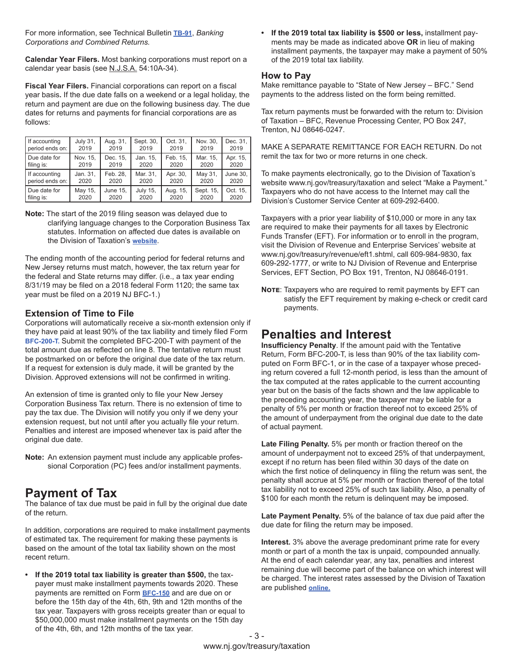For more information, see Technical Bulletin **[TB-91](https://www.state.nj.us/treasury/taxation/pdf/pubs/tb/tb91.pdf)**, *Banking Corporations and Combined Returns.*

**Calendar Year Filers.** Most banking corporations must report on a calendar year basis (see N.J.S.A. 54:10A-34).

**Fiscal Year Filers.** Financial corporations can report on a fiscal year basis**.** If the due date falls on a weekend or a legal holiday, the return and payment are due on the following business day. The due dates for returns and payments for financial corporations are as follows:

| If accounting   | <b>July 31.</b> | Aug. 31, | Sept. 30,       | Oct. 31, | Nov. 30,  | Dec. 31. |
|-----------------|-----------------|----------|-----------------|----------|-----------|----------|
| period ends on: | 2019            | 2019     | 2019            | 2019     | 2019      | 2019     |
| Due date for    | Nov. 15,        | Dec. 15, | Jan. 15,        | Feb. 15, | Mar. 15,  | Apr. 15, |
| filing is:      | 2019            | 2019     | 2020            | 2020     | 2020      | 2020     |
| If accounting   | Jan. 31,        | Feb. 28. | Mar. 31.        | Apr. 30, | May 31,   | June 30. |
| period ends on: | 2020            | 2020     | 2020            | 2020     | 2020      | 2020     |
| Due date for    | May 15,         | June 15. | <b>July 15,</b> | Aug. 15, | Sept. 15, | Oct. 15, |
| filing is:      | 2020            | 2020     | 2020            | 2020     | 2020      | 2020     |

**Note:** The start of the 2019 filing season was delayed due to clarifying language changes to the Corporation Business Tax statutes. Information on affected due dates is available on the Division of Taxation's **[website](http://www.state.nj.us/treasury/taxation/cbt/automaticextension2019.shtml)**.

The ending month of the accounting period for federal returns and New Jersey returns must match, however, the tax return year for the federal and State returns may differ. (i.e., a tax year ending 8/31/19 may be filed on a 2018 federal Form 1120; the same tax year must be filed on a 2019 NJ BFC-1.)

#### **Extension of Time to File**

Corporations will automatically receive a six-month extension only if they have paid at least 90% of the tax liability and timely filed Form **[BFC-200-T.](https://www.state.nj.us/treasury/taxation/prntbfc.shtml)** Submit the completed BFC-200-T with payment of the total amount due as reflected on line 8. The tentative return must be postmarked on or before the original due date of the tax return. If a request for extension is duly made, it will be granted by the Division. Approved extensions will not be confirmed in writing.

An extension of time is granted only to file your New Jersey Corporation Business Tax return. There is no extension of time to pay the tax due. The Division will notify you only if we deny your extension request, but not until after you actually file your return. Penalties and interest are imposed whenever tax is paid after the original due date.

**Note:** An extension payment must include any applicable professional Corporation (PC) fees and/or installment payments.

### **Payment of Tax**

The balance of tax due must be paid in full by the original due date of the return.

In addition, corporations are required to make installment payments of estimated tax. The requirement for making these payments is based on the amount of the total tax liability shown on the most recent return.

**• If the 2019 total tax liability is greater than \$500,** the taxpayer must make installment payments towards 2020. These payments are remitted on Form **[BFC-150](https://www.state.nj.us/treasury/taxation/prntbfc.shtml)** and are due on or before the 15th day of the 4th, 6th, 9th and 12th months of the tax year. Taxpayers with gross receipts greater than or equal to \$50,000,000 must make installment payments on the 15th day of the 4th, 6th, and 12th months of the tax year.

**• If the 2019 total tax liability is \$500 or less,** installment payments may be made as indicated above **OR** in lieu of making installment payments, the taxpayer may make a payment of 50% of the 2019 total tax liability.

#### **How to Pay**

Make remittance payable to "State of New Jersey – BFC." Send payments to the address listed on the form being remitted.

Tax return payments must be forwarded with the return to: Division of Taxation – BFC, Revenue Processing Center, PO Box 247, Trenton, NJ 08646-0247.

MAKE A SEPARATE REMITTANCE FOR EACH RETURN. Do not remit the tax for two or more returns in one check.

To make payments electronically, go to the Division of Taxation's website www.nj.gov/treasury/taxation and select "Make a Payment." Taxpayers who do not have access to the Internet may call the Division's Customer Service Center at 609-292-6400.

Taxpayers with a prior year liability of \$10,000 or more in any tax are required to make their payments for all taxes by Electronic Funds Transfer (EFT). For information or to enroll in the program, visit the Division of Revenue and Enterprise Services' website at www.nj.gov/treasury/revenue/eft1.shtml, call 609-984-9830, fax 609-292-1777, or write to NJ Division of Revenue and Enterprise Services, EFT Section, PO Box 191, Trenton, NJ 08646-0191.

**NOTE:** Taxpayers who are required to remit payments by EFT can satisfy the EFT requirement by making e-check or credit card payments.

### **Penalties and Interest**

**Insufficiency Penalty**. If the amount paid with the Tentative Return, Form BFC-200-T, is less than 90% of the tax liability computed on Form BFC-1, or in the case of a taxpayer whose preceding return covered a full 12-month period, is less than the amount of the tax computed at the rates applicable to the current accounting year but on the basis of the facts shown and the law applicable to the preceding accounting year, the taxpayer may be liable for a penalty of 5% per month or fraction thereof not to exceed 25% of the amount of underpayment from the original due date to the date of actual payment.

**Late Filing Penalty.** 5% per month or fraction thereof on the amount of underpayment not to exceed 25% of that underpayment, except if no return has been filed within 30 days of the date on which the first notice of delinquency in filing the return was sent, the penalty shall accrue at 5% per month or fraction thereof of the total tax liability not to exceed 25% of such tax liability. Also, a penalty of \$100 for each month the return is delinquent may be imposed.

**Late Payment Penalty.** 5% of the balance of tax due paid after the due date for filing the return may be imposed.

**Interest.** 3% above the average predominant prime rate for every month or part of a month the tax is unpaid, compounded annually. At the end of each calendar year, any tax, penalties and interest remaining due will become part of the balance on which interest will be charged. The interest rates assessed by the Division of Taxation are published **[online](https://www.state.nj.us/treasury/taxation/interest.shtml).**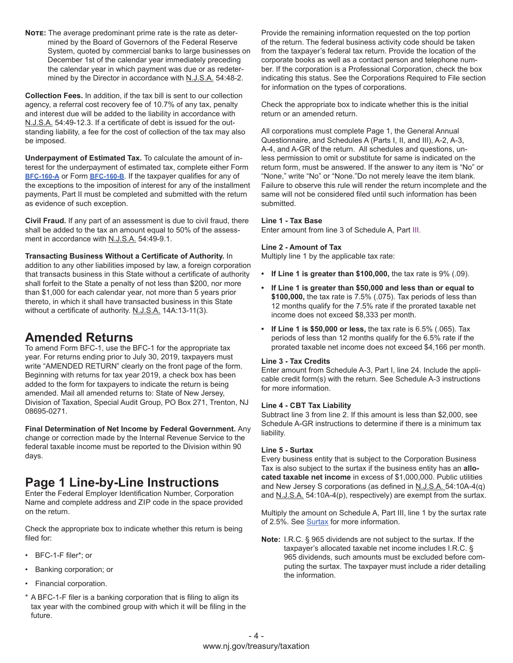**Note:** The average predominant prime rate is the rate as determined by the Board of Governors of the Federal Reserve System, quoted by commercial banks to large businesses on December 1st of the calendar year immediately preceding the calendar year in which payment was due or as redetermined by the Director in accordance with N.J.S.A. 54:48-2.

**Collection Fees.** In addition, if the tax bill is sent to our collection agency, a referral cost recovery fee of 10.7% of any tax, penalty and interest due will be added to the liability in accordance with N.J.S.A. 54:49-12.3. If a certificate of debt is issued for the outstanding liability, a fee for the cost of collection of the tax may also be imposed.

**Underpayment of Estimated Tax.** To calculate the amount of interest for the underpayment of estimated tax, complete either Form **[BFC-160-A](https://www.state.nj.us/treasury/taxation/prntbfc.shtml)** or Form **[BFC-160-B](https://www.state.nj.us/treasury/taxation/prntbfc.shtml)**. If the taxpayer qualifies for any of the exceptions to the imposition of interest for any of the installment payments, Part II must be completed and submitted with the return as evidence of such exception.

**Civil Fraud.** If any part of an assessment is due to civil fraud, there shall be added to the tax an amount equal to 50% of the assessment in accordance with N.J.S.A. 54:49-9.1.

**Transacting Business Without a Certificate of Authority.** In addition to any other liabilities imposed by law, a foreign corporation that transacts business in this State without a certificate of authority shall forfeit to the State a penalty of not less than \$200, nor more than \$1,000 for each calendar year, not more than 5 years prior thereto, in which it shall have transacted business in this State without a certificate of authority. N.J.S.A. 14A:13-11(3).

### **Amended Returns**

To amend Form BFC-1, use the BFC-1 for the appropriate tax year. For returns ending prior to July 30, 2019, taxpayers must write "AMENDED RETURN" clearly on the front page of the form. Beginning with returns for tax year 2019, a check box has been added to the form for taxpayers to indicate the return is being amended. Mail all amended returns to: State of New Jersey, Division of Taxation, Special Audit Group, PO Box 271, Trenton, NJ 08695-0271.

**Final Determination of Net Income by Federal Government.** Any change or correction made by the Internal Revenue Service to the federal taxable income must be reported to the Division within 90 days.

### **Page 1 Line-by-Line Instructions**

Enter the Federal Employer Identification Number, Corporation Name and complete address and ZIP code in the space provided on the return.

Check the appropriate box to indicate whether this return is being filed for:

- BFC-1-F filer\*; or
- Banking corporation; or
- Financial corporation.
- \* A BFC-1-F filer is a banking corporation that is filing to align its tax year with the combined group with which it will be filing in the future.

Provide the remaining information requested on the top portion of the return. The federal business activity code should be taken from the taxpayer's federal tax return. Provide the location of the corporate books as well as a contact person and telephone number. If the corporation is a Professional Corporation, check the box indicating this status. See the Corporations Required to File section for information on the types of corporations.

Check the appropriate box to indicate whether this is the initial return or an amended return.

All corporations must complete Page 1, the General Annual Questionnaire, and Schedules A (Parts I, II, and III), A-2, A-3, A-4, and A-GR of the return. All schedules and questions, unless permission to omit or substitute for same is indicated on the return form, must be answered. If the answer to any item is "No" or "None," write "No" or "None."Do not merely leave the item blank. Failure to observe this rule will render the return incomplete and the same will not be considered filed until such information has been submitted.

#### **Line 1 - Tax Base**

Enter amount from line 3 of Schedule A, Part III.

#### **Line 2 - Amount of Tax**

Multiply line 1 by the applicable tax rate:

- **• If Line 1 is greater than \$100,000,** the tax rate is 9% (.09).
- **• If Line 1 is greater than \$50,000 and less than or equal to \$100,000,** the tax rate is 7.5% (.075). Tax periods of less than 12 months qualify for the 7.5% rate if the prorated taxable net income does not exceed \$8,333 per month.
- **• If Line 1 is \$50,000 or less,** the tax rate is 6.5% (.065). Tax periods of less than 12 months qualify for the 6.5% rate if the prorated taxable net income does not exceed \$4,166 per month.

#### **Line 3 - Tax Credits**

Enter amount from Schedule A-3, Part I, line 24. Include the applicable credit form(s) with the return. See Schedule A-3 instructions for more information.

#### **Line 4 - CBT Tax Liability**

Subtract line 3 from line 2. If this amount is less than \$2,000, see Schedule A-GR instructions to determine if there is a minimum tax liability.

#### **Line 5 - Surtax**

Every business entity that is subject to the Corporation Business Tax is also subject to the surtax if the business entity has an **allocated taxable net income** in excess of \$1,000,000. Public utilities and New Jersey S corporations (as defined in N.J.S.A. 54:10A-4(q) and N.J.S.A. 54:10A-4(p), respectively) are exempt from the surtax.

Multiply the amount on Schedule A, Part III, line 1 by the surtax rate of 2.5%. See [Surtax](https://www.nj.gov/treasury/taxation/cbt/surtax.shtml) for more information.

**Note:** I.R.C. § 965 dividends are not subject to the surtax. If the taxpayer's allocated taxable net income includes I.R.C. § 965 dividends, such amounts must be excluded before computing the surtax. The taxpayer must include a rider detailing the information.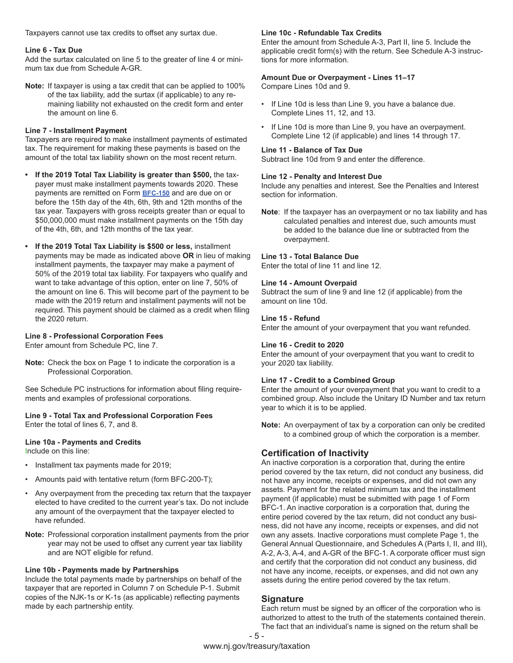Taxpayers cannot use tax credits to offset any surtax due.

#### **Line 6 - Tax Due**

Add the surtax calculated on line 5 to the greater of line 4 or minimum tax due from Schedule A-GR.

**Note:** If taxpayer is using a tax credit that can be applied to 100% of the tax liability, add the surtax (if applicable) to any remaining liability not exhausted on the credit form and enter the amount on line 6.

#### **Line 7 - Installment Payment**

Taxpayers are required to make installment payments of estimated tax. The requirement for making these payments is based on the amount of the total tax liability shown on the most recent return.

- **• If the 2019 Total Tax Liability is greater than \$500,** the taxpayer must make installment payments towards 2020. These payments are remitted on Form **[BFC-150](https://www.state.nj.us/treasury/taxation/prntbfc.shtml)** and are due on or before the 15th day of the 4th, 6th, 9th and 12th months of the tax year. Taxpayers with gross receipts greater than or equal to \$50,000,000 must make installment payments on the 15th day of the 4th, 6th, and 12th months of the tax year.
- **• If the 2019 Total Tax Liability is \$500 or less,** installment payments may be made as indicated above **OR** in lieu of making installment payments, the taxpayer may make a payment of 50% of the 2019 total tax liability. For taxpayers who qualify and want to take advantage of this option, enter on line 7, 50% of the amount on line 6. This will become part of the payment to be made with the 2019 return and installment payments will not be required. This payment should be claimed as a credit when filing the 2020 return.

#### **Line 8 - Professional Corporation Fees**

Enter amount from Schedule PC, line 7.

**Note:** Check the box on Page 1 to indicate the corporation is a Professional Corporation.

See Schedule PC instructions for information about filing requirements and examples of professional corporations.

#### **Line 9 - Total Tax and Professional Corporation Fees**  Enter the total of lines 6, 7, and 8.

### **Line 10a - Payments and Credits**

Include on this line:

- Installment tax payments made for 2019;
- Amounts paid with tentative return (form BFC-200-T);
- Any overpayment from the preceding tax return that the taxpayer elected to have credited to the current year's tax. Do not include any amount of the overpayment that the taxpayer elected to have refunded.
- **Note:** Professional corporation installment payments from the prior year may not be used to offset any current year tax liability and are NOT eligible for refund.

#### **Line 10b - Payments made by Partnerships**

Include the total payments made by partnerships on behalf of the taxpayer that are reported in Column 7 on Schedule P-1. Submit copies of the NJK-1s or K-1s (as applicable) reflecting payments made by each partnership entity.

#### **Line 10c - Refundable Tax Credits**

Enter the amount from Schedule A-3, Part II, line 5. Include the applicable credit form(s) with the return. See Schedule A-3 instructions for more information.

#### **Amount Due or Overpayment - Lines 11–17**

Compare Lines 10d and 9.

- If Line 10d is less than Line 9, you have a balance due. Complete Lines 11, 12, and 13.
- If Line 10d is more than Line 9, you have an overpayment. Complete Line 12 (if applicable) and lines 14 through 17.

#### **Line 11 - Balance of Tax Due**

Subtract line 10d from 9 and enter the difference.

#### **Line 12 - Penalty and Interest Due**

Include any penalties and interest. See the Penalties and Interest section for information.

**Note**: If the taxpayer has an overpayment or no tax liability and has calculated penalties and interest due, such amounts must be added to the balance due line or subtracted from the overpayment.

#### **Line 13 - Total Balance Due**

Enter the total of line 11 and line 12.

#### **Line 14 - Amount Overpaid**

Subtract the sum of line 9 and line 12 (if applicable) from the amount on line 10d.

#### **Line 15 - Refund**

Enter the amount of your overpayment that you want refunded.

#### **Line 16 - Credit to 2020**

Enter the amount of your overpayment that you want to credit to your 2020 tax liability.

#### **Line 17 - Credit to a Combined Group**

Enter the amount of your overpayment that you want to credit to a combined group. Also include the Unitary ID Number and tax return year to which it is to be applied.

**Note:** An overpayment of tax by a corporation can only be credited to a combined group of which the corporation is a member.

#### **Certification of Inactivity**

An inactive corporation is a corporation that, during the entire period covered by the tax return, did not conduct any business, did not have any income, receipts or expenses, and did not own any assets. Payment for the related minimum tax and the installment payment (if applicable) must be submitted with page 1 of Form BFC-1. An inactive corporation is a corporation that, during the entire period covered by the tax return, did not conduct any business, did not have any income, receipts or expenses, and did not own any assets. Inactive corporations must complete Page 1, the General Annual Questionnaire, and Schedules A (Parts I, II, and III), A-2, A-3, A-4, and A-GR of the BFC-1. A corporate officer must sign and certify that the corporation did not conduct any business, did not have any income, receipts, or expenses, and did not own any assets during the entire period covered by the tax return.

#### **Signature**

Each return must be signed by an officer of the corporation who is authorized to attest to the truth of the statements contained therein. The fact that an individual's name is signed on the return shall be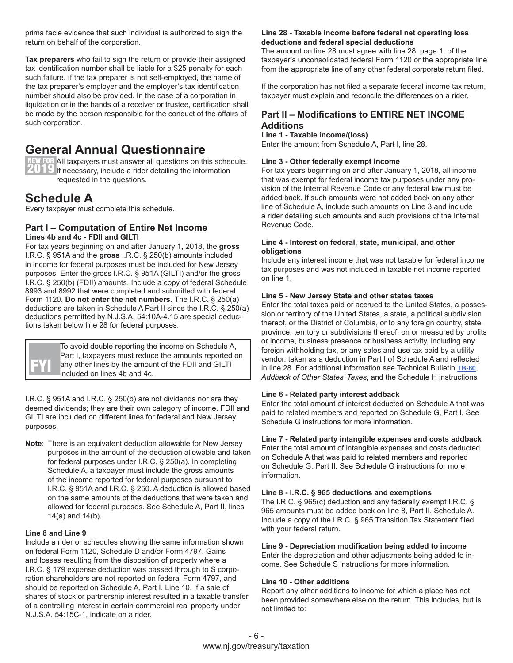prima facie evidence that such individual is authorized to sign the return on behalf of the corporation.

**Tax preparers** who fail to sign the return or provide their assigned tax identification number shall be liable for a \$25 penalty for each such failure. If the tax preparer is not self-employed, the name of the tax preparer's employer and the employer's tax identification number should also be provided. In the case of a corporation in liquidation or in the hands of a receiver or trustee, certification shall be made by the person responsible for the conduct of the affairs of such corporation.

### **General Annual Questionnaire**

NEW FOR All taxpayers must answer all questions on this schedule. **ITT If** necessary, include a rider detailing the information requested in the questions.

### **Schedule A**

Every taxpayer must complete this schedule.

#### **Part I – Computation of Entire Net Income Lines 4b and 4c - FDII and GILTI**

For tax years beginning on and after January 1, 2018, the **gross** I.R.C. § 951A and the **gross** I.R.C. § 250(b) amounts included in income for federal purposes must be included for New Jersey purposes. Enter the gross I.R.C. § 951A (GILTI) and/or the gross I.R.C. § 250(b) (FDII) amounts. Include a copy of federal Schedule 8993 and 8992 that were completed and submitted with federal Form 1120. **Do not enter the net numbers.** The I.R.C. § 250(a) deductions are taken in Schedule A Part II since the I.R.C. § 250(a) deductions permitted by N.J.S.A. 54:10A-4.15 are special deductions taken below line 28 for federal purposes.

> To avoid double reporting the income on Schedule A, Part I, taxpayers must reduce the amounts reported on any other lines by the amount of the FDII and GILTI included on lines 4b and 4c.

I.R.C. § 951A and I.R.C. § 250(b) are not dividends nor are they deemed dividends; they are their own category of income. FDII and GILTI are included on different lines for federal and New Jersey purposes.

**Note**: There is an equivalent deduction allowable for New Jersey purposes in the amount of the deduction allowable and taken for federal purposes under I.R.C. § 250(a). In completing Schedule A, a taxpayer must include the gross amounts of the income reported for federal purposes pursuant to I.R.C. § 951A and I.R.C. § 250. A deduction is allowed based on the same amounts of the deductions that were taken and allowed for federal purposes. See Schedule A, Part II, lines 14(a) and 14(b).

#### **Line 8 and Line 9**

Include a rider or schedules showing the same information shown on federal Form 1120, Schedule D and/or Form 4797. Gains and losses resulting from the disposition of property where a I.R.C. § 179 expense deduction was passed through to S corporation shareholders are not reported on federal Form 4797, and should be reported on Schedule A, Part I, Line 10. If a sale of shares of stock or partnership interest resulted in a taxable transfer of a controlling interest in certain commercial real property under N.J.S.A. 54:15C-1, indicate on a rider.

#### **Line 28 - Taxable income before federal net operating loss deductions and federal special deductions**

The amount on line 28 must agree with line 28, page 1, of the taxpayer's unconsolidated federal Form 1120 or the appropriate line from the appropriate line of any other federal corporate return filed.

If the corporation has not filed a separate federal income tax return, taxpayer must explain and reconcile the differences on a rider.

#### **Part II – Modifications to ENTIRE NET INCOME Additions**

#### **Line 1 - Taxable income/(loss)**

Enter the amount from Schedule A, Part I, line 28.

#### **Line 3 - Other federally exempt income**

For tax years beginning on and after January 1, 2018, all income that was exempt for federal income tax purposes under any provision of the Internal Revenue Code or any federal law must be added back. If such amounts were not added back on any other line of Schedule A, include such amounts on Line 3 and include a rider detailing such amounts and such provisions of the Internal Revenue Code.

#### **Line 4 - Interest on federal, state, municipal, and other obligations**

Include any interest income that was not taxable for federal income tax purposes and was not included in taxable net income reported on line 1.

#### **Line 5 - New Jersey State and other states taxes**

Enter the total taxes paid or accrued to the United States, a possession or territory of the United States, a state, a political subdivision thereof, or the District of Columbia, or to any foreign country, state, province, territory or subdivisions thereof, on or measured by profits or income, business presence or business activity, including any foreign withholding tax, or any sales and use tax paid by a utility vendor, taken as a deduction in Part I of Schedule A and reflected in line 28. For additional information see Technical Bulletin **[TB-80](http://www.state.nj.us/treasury/taxation/pdf/pubs/tb/tb80.pdf
)**, *Addback of Other States' Taxes,* and the Schedule H instructions

#### **Line 6 - Related party interest addback**

Enter the total amount of interest deducted on Schedule A that was paid to related members and reported on Schedule G, Part I. See Schedule G instructions for more information.

#### **Line 7 - Related party intangible expenses and costs addback**

Enter the total amount of intangible expenses and costs deducted on Schedule A that was paid to related members and reported on Schedule G, Part II. See Schedule G instructions for more information.

#### **Line 8 - I.R.C. § 965 deductions and exemptions**

The I.R.C. § 965(c) deduction and any federally exempt I.R.C. § 965 amounts must be added back on line 8, Part II, Schedule A. Include a copy of the I.R.C. § 965 Transition Tax Statement filed with your federal return.

#### **Line 9 - Depreciation modification being added to income**

Enter the depreciation and other adjustments being added to income. See Schedule S instructions for more information.

#### **Line 10 - Other additions**

Report any other additions to income for which a place has not been provided somewhere else on the return. This includes, but is not limited to: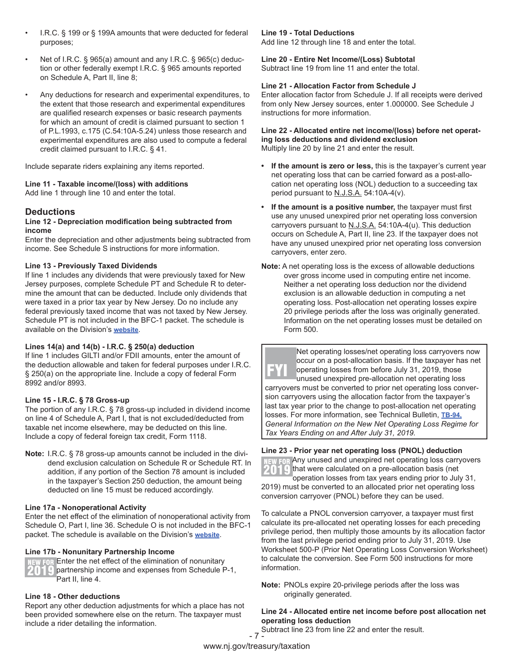- I.R.C. § 199 or § 199A amounts that were deducted for federal purposes;
- Net of I.R.C. § 965(a) amount and any I.R.C. § 965(c) deduction or other federally exempt I.R.C. § 965 amounts reported on Schedule A, Part II, line 8;
- Any deductions for research and experimental expenditures, to the extent that those research and experimental expenditures are qualified research expenses or basic research payments for which an amount of credit is claimed pursuant to section 1 of P.L.1993, c.175 (C.54:10A-5.24) unless those research and experimental expenditures are also used to compute a federal credit claimed pursuant to I.R.C. § 41.

Include separate riders explaining any items reported.

#### **Line 11 - Taxable income/(loss) with additions**

Add line 1 through line 10 and enter the total.

#### **Deductions**

#### **Line 12 - Depreciation modification being subtracted from income**

Enter the depreciation and other adjustments being subtracted from income. See Schedule S instructions for more information.

#### **Line 13 - Previously Taxed Dividends**

If line 1 includes any dividends that were previously taxed for New Jersey purposes, complete Schedule PT and Schedule R to determine the amount that can be deducted. Include only dividends that were taxed in a prior tax year by New Jersey. Do no include any federal previously taxed income that was not taxed by New Jersey. Schedule PT is not included in the BFC-1 packet. The schedule is available on the Division's **[website](https://www.state.nj.us/treasury/taxation/prntcbt.shtml)**.

#### **Lines 14(a) and 14(b) - I.R.C. § 250(a) deduction**

If line 1 includes GILTI and/or FDII amounts, enter the amount of the deduction allowable and taken for federal purposes under I.R.C. § 250(a) on the appropriate line. Include a copy of federal Form 8992 and/or 8993.

#### **Line 15 - I.R.C. § 78 Gross-up**

The portion of any I.R.C. § 78 gross-up included in dividend income on line 4 of Schedule A, Part I, that is not excluded/deducted from taxable net income elsewhere, may be deducted on this line. Include a copy of federal foreign tax credit, Form 1118.

**Note:** I.R.C. § 78 gross-up amounts cannot be included in the dividend exclusion calculation on Schedule R or Schedule RT. In addition, if any portion of the Section 78 amount is included in the taxpayer's Section 250 deduction, the amount being deducted on line 15 must be reduced accordingly.

#### **Line 17a - Nonoperational Activity**

Enter the net effect of the elimination of nonoperational activity from Schedule O, Part I, line 36. Schedule O is not included in the BFC-1 packet. The schedule is available on the Division's **[website](https://www.state.nj.us/treasury/taxation/prntcbt.shtml)**.

#### **Line 17b - Nonunitary Partnership Income**

NEW FOR Enter the net effect of the elimination of nonunitary **THE partnership income and expenses from Schedule P-1,** Part II, line 4.

#### **Line 18 - Other deductions**

Report any other deduction adjustments for which a place has not been provided somewhere else on the return. The taxpayer must include a rider detailing the information.

#### **Line 19 - Total Deductions**

Add line 12 through line 18 and enter the total.

**Line 20 - Entire Net Income/(Loss) Subtotal** Subtract line 19 from line 11 and enter the total.

#### **Line 21 - Allocation Factor from Schedule J**

Enter allocation factor from Schedule J. If all receipts were derived from only New Jersey sources, enter 1.000000. See Schedule J instructions for more information.

#### **Line 22 - Allocated entire net income/(loss) before net operating loss deductions and dividend exclusion**

Multiply line 20 by line 21 and enter the result.

- **• If the amount is zero or less,** this is the taxpayer's current year net operating loss that can be carried forward as a post-allocation net operating loss (NOL) deduction to a succeeding tax period pursuant to N.J.S.A. 54:10A-4(v).
- **• If the amount is a positive number,** the taxpayer must first use any unused unexpired prior net operating loss conversion carryovers pursuant to  $N.J.S.A.$  54:10A-4(u). This deduction occurs on Schedule A, Part II, line 23. If the taxpayer does not have any unused unexpired prior net operating loss conversion carryovers, enter zero.
- **Note:** A net operating loss is the excess of allowable deductions over gross income used in computing entire net income. Neither a net operating loss deduction nor the dividend exclusion is an allowable deduction in computing a net operating loss. Post-allocation net operating losses expire 20 privilege periods after the loss was originally generated. Information on the net operating losses must be detailed on Form 500.



#### **Line 23 - Prior year net operating loss (PNOL) deduction**

NEW FOR Any unused and unexpired net operating loss carryovers  $\mathcal{I} \cap \mathcal{I}$  that were calculated on a pre-allocation basis (net

operation losses from tax years ending prior to July 31, 2019) must be converted to an allocated prior net operating loss conversion carryover (PNOL) before they can be used.

To calculate a PNOL conversion carryover, a taxpayer must first calculate its pre-allocated net operating losses for each preceding privilege period, then multiply those amounts by its allocation factor from the last privilege period ending prior to July 31, 2019. Use Worksheet 500-P (Prior Net Operating Loss Conversion Worksheet) to calculate the conversion. See Form 500 instructions for more information.

**Note:** PNOLs expire 20-privilege periods after the loss was originally generated.

#### **Line 24 - Allocated entire net income before post allocation net operating loss deduction**

- 7 - Subtract line 23 from line 22 and enter the result.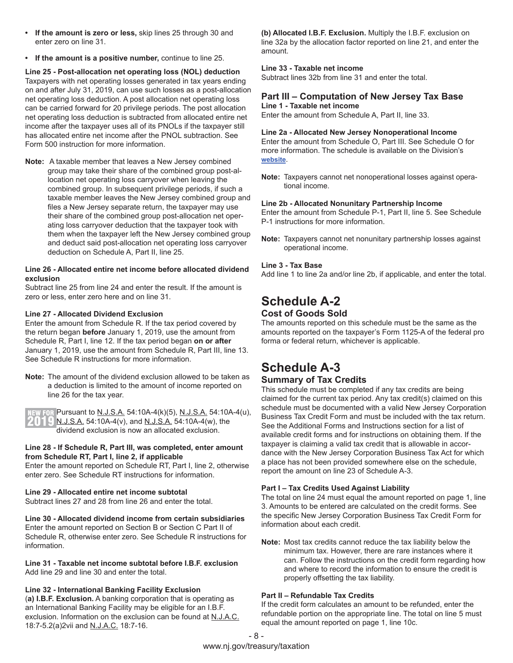- **• If the amount is zero or less,** skip lines 25 through 30 and enter zero on line 31.
- **• If the amount is a positive number,** continue to line 25.

**Line 25 - Post-allocation net operating loss (NOL) deduction**  Taxpayers with net operating losses generated in tax years ending on and after July 31, 2019, can use such losses as a post-allocation net operating loss deduction. A post allocation net operating loss can be carried forward for 20 privilege periods. The post allocation net operating loss deduction is subtracted from allocated entire net income after the taxpayer uses all of its PNOLs if the taxpayer still has allocated entire net income after the PNOL subtraction. See Form 500 instruction for more information.

**Note:** A taxable member that leaves a New Jersey combined group may take their share of the combined group post-allocation net operating loss carryover when leaving the combined group. In subsequent privilege periods, if such a taxable member leaves the New Jersey combined group and files a New Jersey separate return, the taxpayer may use their share of the combined group post-allocation net operating loss carryover deduction that the taxpayer took with them when the taxpayer left the New Jersey combined group and deduct said post-allocation net operating loss carryover deduction on Schedule A, Part II, line 25.

#### **Line 26 - Allocated entire net income before allocated dividend exclusion**

Subtract line 25 from line 24 and enter the result. If the amount is zero or less, enter zero here and on line 31.

#### **Line 27 - Allocated Dividend Exclusion**

Enter the amount from Schedule R. If the tax period covered by the return began **before** January 1, 2019, use the amount from Schedule R, Part I, line 12. If the tax period began **on or after** January 1, 2019, use the amount from Schedule R, Part III, line 13. See Schedule R instructions for more information.

**Note:** The amount of the dividend exclusion allowed to be taken as a deduction is limited to the amount of income reported on line 26 for the tax year.

EW FOR Pursuant to <u>N.J.S.A.</u> 54:10A-4(k)(5), N.J.S.A. 54:10A-4(u),  $[1]$   $[2]$  N.J.S.A. 54:10A-4(v), and N.J.S.A. 54:10A-4(w), the dividend exclusion is now an allocated exclusion.

#### **Line 28 - If Schedule R, Part III, was completed, enter amount from Schedule RT, Part I, line 2, if applicable**

Enter the amount reported on Schedule RT, Part I, line 2, otherwise enter zero. See Schedule RT instructions for information.

#### **Line 29 - Allocated entire net income subtotal**

Subtract lines 27 and 28 from line 26 and enter the total.

#### **Line 30 - Allocated dividend income from certain subsidiaries**

Enter the amount reported on Section B or Section C Part II of Schedule R, otherwise enter zero. See Schedule R instructions for information.

**Line 31 - Taxable net income subtotal before I.B.F. exclusion** Add line 29 and line 30 and enter the total.

#### **Line 32 - International Banking Facility Exclusion**

(**a) I.B.F. Exclusion.** A banking corporation that is operating as an International Banking Facility may be eligible for an I.B.F. exclusion. Information on the exclusion can be found at N.J.A.C. 18:7-5.2(a)2vii and N.J.A.C. 18:7-16.

**(b) Allocated I.B.F. Exclusion.** Multiply the I.B.F. exclusion on line 32a by the allocation factor reported on line 21, and enter the amount.

#### **Line 33 - Taxable net income**

Subtract lines 32b from line 31 and enter the total.

#### **Part III – Computation of New Jersey Tax Base Line 1 - Taxable net income**

Enter the amount from Schedule A, Part II, line 33.

#### **Line 2a - Allocated New Jersey Nonoperational Income**

Enter the amount from Schedule O, Part III. See Schedule O for more information. The schedule is available on the Division's **[website](https://www.state.nj.us/treasury/taxation/prntcbt.shtml)**.

**Note:** Taxpayers cannot net nonoperational losses against operational income.

#### **Line 2b - Allocated Nonunitary Partnership Income**

Enter the amount from Schedule P-1, Part II, line 5. See Schedule P-1 instructions for more information.

**Note:** Taxpayers cannot net nonunitary partnership losses against operational income.

#### **Line 3 - Tax Base**

Add line 1 to line 2a and/or line 2b, if applicable, and enter the total.

#### **Schedule A-2 Cost of Goods Sold**

The amounts reported on this schedule must be the same as the amounts reported on the taxpayer's Form 1125-A of the federal pro forma or federal return, whichever is applicable.

#### **Schedule A-3 Summary of Tax Credits**

This schedule must be completed if any tax credits are being claimed for the current tax period. Any tax credit(s) claimed on this schedule must be documented with a valid New Jersey Corporation Business Tax Credit Form and must be included with the tax return. See the Additional Forms and Instructions section for a list of available credit forms and for instructions on obtaining them. If the taxpayer is claiming a valid tax credit that is allowable in accordance with the New Jersey Corporation Business Tax Act for which a place has not been provided somewhere else on the schedule, report the amount on line 23 of Schedule A-3.

#### **Part I – Tax Credits Used Against Liability**

The total on line 24 must equal the amount reported on page 1, line 3. Amounts to be entered are calculated on the credit forms. See the specific New Jersey Corporation Business Tax Credit Form for information about each credit.

**Note:** Most tax credits cannot reduce the tax liability below the minimum tax. However, there are rare instances where it can. Follow the instructions on the credit form regarding how and where to record the information to ensure the credit is properly offsetting the tax liability.

#### **Part II – Refundable Tax Credits**

If the credit form calculates an amount to be refunded, enter the refundable portion on the appropriate line. The total on line 5 must equal the amount reported on page 1, line 10c.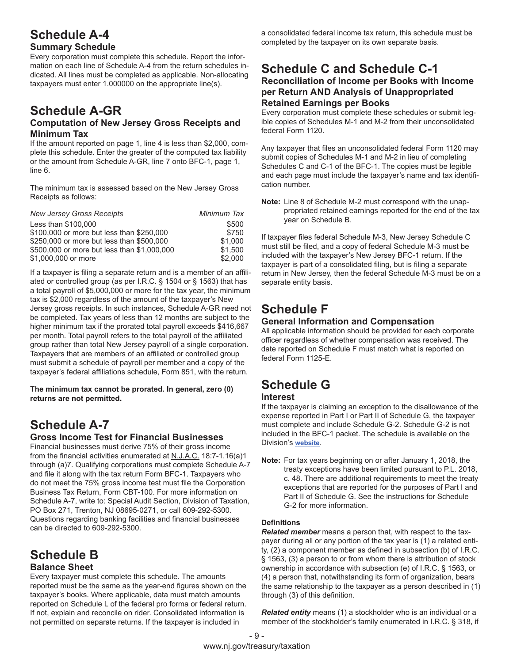### **Schedule A-4**

#### **Summary Schedule**

Every corporation must complete this schedule. Report the information on each line of Schedule A-4 from the return schedules indicated. All lines must be completed as applicable. Non-allocating taxpayers must enter 1.000000 on the appropriate line(s).

### **Schedule A-GR**

#### **Computation of New Jersey Gross Receipts and Minimum Tax**

If the amount reported on page 1, line 4 is less than \$2,000, complete this schedule. Enter the greater of the computed tax liability or the amount from Schedule A-GR, line 7 onto BFC-1, page 1, line 6.

The minimum tax is assessed based on the New Jersey Gross Receipts as follows:

| <b>New Jersey Gross Receipts</b>            | Minimum Tax |
|---------------------------------------------|-------------|
| Less than \$100,000                         | \$500       |
| \$100,000 or more but less than \$250,000   | \$750       |
| \$250,000 or more but less than \$500,000   | \$1,000     |
| \$500,000 or more but less than \$1,000,000 | \$1.500     |
| \$1,000,000 or more                         | \$2,000     |

If a taxpayer is filing a separate return and is a member of an affiliated or controlled group (as per I.R.C. § 1504 or § 1563) that has a total payroll of \$5,000,000 or more for the tax year, the minimum tax is \$2,000 regardless of the amount of the taxpayer's New Jersey gross receipts. In such instances, Schedule A-GR need not be completed. Tax years of less than 12 months are subject to the higher minimum tax if the prorated total payroll exceeds \$416,667 per month. Total payroll refers to the total payroll of the affiliated group rather than total New Jersey payroll of a single corporation. Taxpayers that are members of an affiliated or controlled group must submit a schedule of payroll per member and a copy of the taxpayer's federal affiliations schedule, Form 851, with the return.

**The minimum tax cannot be prorated. In general, zero (0) returns are not permitted.**

### **Schedule A-7**

#### **Gross Income Test for Financial Businesses**

Financial businesses must derive 75% of their gross income from the financial activities enumerated at N.J.A.C. 18:7-1.16(a)1 through (a)7. Qualifying corporations must complete Schedule A-7 and file it along with the tax return Form BFC-1. Taxpayers who do not meet the 75% gross income test must file the Corporation Business Tax Return, Form CBT-100. For more information on Schedule A-7, write to: Special Audit Section, Division of Taxation, PO Box 271, Trenton, NJ 08695-0271, or call 609-292-5300. Questions regarding banking facilities and financial businesses can be directed to 609-292-5300.

### **Schedule B Balance Sheet**

Every taxpayer must complete this schedule. The amounts reported must be the same as the year-end figures shown on the taxpayer's books. Where applicable, data must match amounts reported on Schedule L of the federal pro forma or federal return. If not, explain and reconcile on rider. Consolidated information is not permitted on separate returns. If the taxpayer is included in

a consolidated federal income tax return, this schedule must be completed by the taxpayer on its own separate basis.

#### **Schedule C and Schedule C-1 Reconciliation of Income per Books with Income per Return AND Analysis of Unappropriated Retained Earnings per Books**

Every corporation must complete these schedules or submit legible copies of Schedules M-1 and M-2 from their unconsolidated federal Form 1120.

Any taxpayer that files an unconsolidated federal Form 1120 may submit copies of Schedules M-1 and M-2 in lieu of completing Schedules C and C-1 of the BFC-1. The copies must be legible and each page must include the taxpayer's name and tax identification number.

**Note:** Line 8 of Schedule M-2 must correspond with the unappropriated retained earnings reported for the end of the tax year on Schedule B.

If taxpayer files federal Schedule M-3, New Jersey Schedule C must still be filed, and a copy of federal Schedule M-3 must be included with the taxpayer's New Jersey BFC-1 return. If the taxpayer is part of a consolidated filing, but is filing a separate return in New Jersey, then the federal Schedule M-3 must be on a separate entity basis.

### **Schedule F**

#### **General Information and Compensation**

All applicable information should be provided for each corporate officer regardless of whether compensation was received. The date reported on Schedule F must match what is reported on federal Form 1125-E.

### **Schedule G**

#### **Interest**

If the taxpayer is claiming an exception to the disallowance of the expense reported in Part I or Part II of Schedule G, the taxpayer must complete and include Schedule G-2. Schedule G-2 is not included in the BFC-1 packet. The schedule is available on the Division's **[website](https://www.state.nj.us/treasury/taxation/prntcbt.shtml)**.

**Note:** For tax years beginning on or after January 1, 2018, the treaty exceptions have been limited pursuant to P.L. 2018, c. 48. There are additional requirements to meet the treaty exceptions that are reported for the purposes of Part I and Part II of Schedule G. See the instructions for Schedule G-2 for more information.

#### **Definitions**

*Related member* means a person that, with respect to the taxpayer during all or any portion of the tax year is (1) a related entity, (2) a component member as defined in subsection (b) of I.R.C. § 1563, (3) a person to or from whom there is attribution of stock ownership in accordance with subsection (e) of I.R.C. § 1563, or (4) a person that, notwithstanding its form of organization, bears the same relationship to the taxpayer as a person described in (1) through (3) of this definition.

*Related entity* means (1) a stockholder who is an individual or a member of the stockholder's family enumerated in I.R.C. § 318, if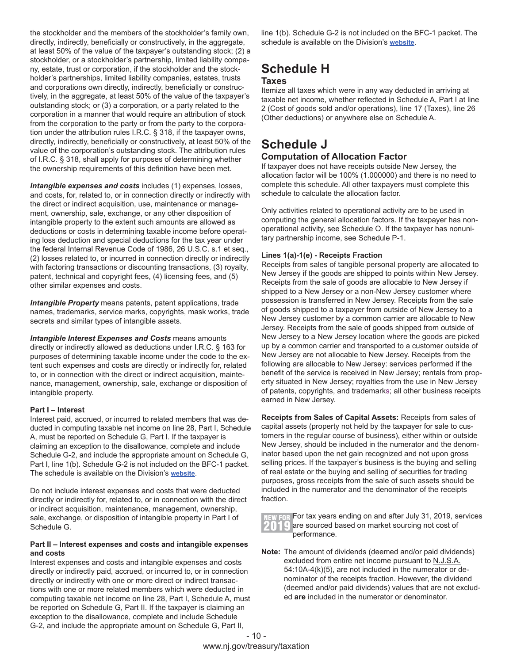the stockholder and the members of the stockholder's family own, directly, indirectly, beneficially or constructively, in the aggregate, at least 50% of the value of the taxpayer's outstanding stock; (2) a stockholder, or a stockholder's partnership, limited liability company, estate, trust or corporation, if the stockholder and the stockholder's partnerships, limited liability companies, estates, trusts and corporations own directly, indirectly, beneficially or constructively, in the aggregate, at least 50% of the value of the taxpayer's outstanding stock; or (3) a corporation, or a party related to the corporation in a manner that would require an attribution of stock from the corporation to the party or from the party to the corporation under the attribution rules I.R.C. § 318, if the taxpayer owns, directly, indirectly, beneficially or constructively, at least 50% of the value of the corporation's outstanding stock. The attribution rules of I.R.C. § 318, shall apply for purposes of determining whether the ownership requirements of this definition have been met.

*Intangible expenses and costs* includes (1) expenses, losses, and costs, for, related to, or in connection directly or indirectly with the direct or indirect acquisition, use, maintenance or management, ownership, sale, exchange, or any other disposition of intangible property to the extent such amounts are allowed as deductions or costs in determining taxable income before operating loss deduction and special deductions for the tax year under the federal Internal Revenue Code of 1986, 26 U.S.C. s.1 et seq., (2) losses related to, or incurred in connection directly or indirectly with factoring transactions or discounting transactions, (3) royalty, patent, technical and copyright fees, (4) licensing fees, and (5) other similar expenses and costs.

**Intangible Property** means patents, patent applications, trade names, trademarks, service marks, copyrights, mask works, trade secrets and similar types of intangible assets.

**Intangible Interest Expenses and Costs means amounts** directly or indirectly allowed as deductions under I.R.C. § 163 for purposes of determining taxable income under the code to the extent such expenses and costs are directly or indirectly for, related to, or in connection with the direct or indirect acquisition, maintenance, management, ownership, sale, exchange or disposition of intangible property.

#### **Part I – Interest**

Interest paid, accrued, or incurred to related members that was deducted in computing taxable net income on line 28, Part I, Schedule A, must be reported on Schedule G, Part I. If the taxpayer is claiming an exception to the disallowance, complete and include Schedule G-2, and include the appropriate amount on Schedule G, Part I, line 1(b). Schedule G-2 is not included on the BFC-1 packet. The schedule is available on the Division's **[website](https://www.state.nj.us/treasury/taxation/prntcbt.shtml)**.

Do not include interest expenses and costs that were deducted directly or indirectly for, related to, or in connection with the direct or indirect acquisition, maintenance, management, ownership, sale, exchange, or disposition of intangible property in Part I of Schedule G.

#### **Part II – Interest expenses and costs and intangible expenses and costs**

Interest expenses and costs and intangible expenses and costs directly or indirectly paid, accrued, or incurred to, or in connection directly or indirectly with one or more direct or indirect transactions with one or more related members which were deducted in computing taxable net income on line 28, Part I, Schedule A, must be reported on Schedule G, Part II. If the taxpayer is claiming an exception to the disallowance, complete and include Schedule G-2, and include the appropriate amount on Schedule G, Part II,

line 1(b). Schedule G-2 is not included on the BFC-1 packet. The schedule is available on the Division's **[website](https://www.state.nj.us/treasury/taxation/prntcbt.shtml)**.

### **Schedule H**

#### **Taxes**

Itemize all taxes which were in any way deducted in arriving at taxable net income, whether reflected in Schedule A, Part I at line 2 (Cost of goods sold and/or operations), line 17 (Taxes), line 26 (Other deductions) or anywhere else on Schedule A.

### **Schedule J**

#### **Computation of Allocation Factor**

If taxpayer does not have receipts outside New Jersey, the allocation factor will be 100% (1.000000) and there is no need to complete this schedule. All other taxpayers must complete this schedule to calculate the allocation factor.

Only activities related to operational activity are to be used in computing the general allocation factors. If the taxpayer has nonoperational activity, see Schedule O. If the taxpayer has nonunitary partnership income, see Schedule P-1.

#### **Lines 1(a)-1(e) - Receipts Fraction**

Receipts from sales of tangible personal property are allocated to New Jersey if the goods are shipped to points within New Jersey. Receipts from the sale of goods are allocable to New Jersey if shipped to a New Jersey or a non-New Jersey customer where possession is transferred in New Jersey. Receipts from the sale of goods shipped to a taxpayer from outside of New Jersey to a New Jersey customer by a common carrier are allocable to New Jersey. Receipts from the sale of goods shipped from outside of New Jersey to a New Jersey location where the goods are picked up by a common carrier and transported to a customer outside of New Jersey are not allocable to New Jersey. Receipts from the following are allocable to New Jersey: services performed if the benefit of the service is received in New Jersey; rentals from property situated in New Jersey; royalties from the use in New Jersey of patents, copyrights, and trademarks; all other business receipts earned in New Jersey.

**Receipts from Sales of Capital Assets:** Receipts from sales of capital assets (property not held by the taxpayer for sale to customers in the regular course of business), either within or outside New Jersey, should be included in the numerator and the denominator based upon the net gain recognized and not upon gross selling prices. If the taxpayer's business is the buying and selling of real estate or the buying and selling of securities for trading purposes, gross receipts from the sale of such assets should be included in the numerator and the denominator of the receipts fraction.



NEW FOR For tax years ending on and after July 31, 2019, services **4** are sourced based on market sourcing not cost of performance.

**Note:** The amount of dividends (deemed and/or paid dividends) excluded from entire net income pursuant to N.J.S.A. 54:10A-4(k)(5), are not included in the numerator or denominator of the receipts fraction. However, the dividend (deemed and/or paid dividends) values that are not excluded **are** included in the numerator or denominator.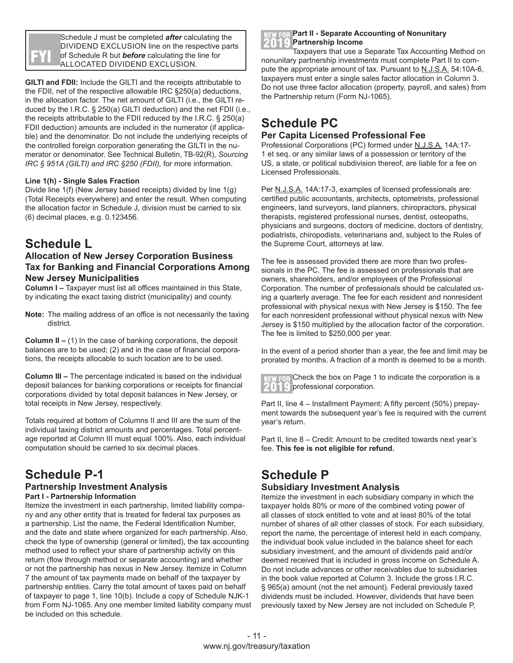Schedule J must be completed *after* calculating the DIVIDEND EXCLUSION line on the respective parts of Schedule R but *before* calculating the line for ALLOCATED DIVIDEND EXCLUSION.

**GILTI and FDII:** Include the GILTI and the receipts attributable to the FDII, net of the respective allowable IRC §250(a) deductions, in the allocation factor. The net amount of GILTI (i.e., the GILTI reduced by the I.R.C. § 250(a) GILTI deduction) and the net FDII (i.e., the receipts attributable to the FDII reduced by the I.R.C. § 250(a) FDII deduction) amounts are included in the numerator (if applicable) and the denominator. Do not include the underlying receipts of the controlled foreign corporation generating the GILTI in the numerator or denominator. See Technical Bulletin, TB-92(R), *Sourcing IRC § 951A (GILTI) and IRC §250 (FDII),* for more information.

#### **Line 1(h) - Single Sales Fraction**

Divide line 1(f) (New Jersey based receipts) divided by line 1(g) (Total Receipts everywhere) and enter the result. When computing the allocation factor in Schedule J, division must be carried to six (6) decimal places, e.g. 0.123456.

### **Schedule L**

#### **Allocation of New Jersey Corporation Business Tax for Banking and Financial Corporations Among New Jersey Municipalities**

**Column I –** Taxpayer must list all offices maintained in this State, by indicating the exact taxing district (municipality) and county.

**Note:** The mailing address of an office is not necessarily the taxing district.

**Column II –** (1) In the case of banking corporations, the deposit balances are to be used; (2) and in the case of financial corporations, the receipts allocable to such location are to be used.

**Column III –** The percentage indicated is based on the individual deposit balances for banking corporations or receipts for financial corporations divided by total deposit balances in New Jersey, or total receipts in New Jersey, respectively.

Totals required at bottom of Columns II and III are the sum of the individual taxing district amounts and percentages. Total percentage reported at Column III must equal 100%. Also, each individual computation should be carried to six decimal places.

### **Schedule P-1**

#### **Partnership Investment Analysis Part I - Partnership Information**

Itemize the investment in each partnership, limited liability company and any other entity that is treated for federal tax purposes as a partnership. List the name, the Federal Identification Number, and the date and state where organized for each partnership. Also, check the type of ownership (general or limited), the tax accounting method used to reflect your share of partnership activity on this return (flow through method or separate accounting) and whether or not the partnership has nexus in New Jersey. Itemize in Column 7 the amount of tax payments made on behalf of the taxpayer by partnership entities. Carry the total amount of taxes paid on behalf of taxpayer to page 1, line 10(b). Include a copy of Schedule NJK-1 from Form NJ-1065. Any one member limited liability company must be included on this schedule.

#### **Part II - Separate Accounting of Nonunitary Partnership Income**

Taxpayers that use a Separate Tax Accounting Method on nonunitary partnership investments must complete Part II to compute the appropriate amount of tax. Pursuant to N.J.S.A. 54:10A-6, taxpayers must enter a single sales factor allocation in Column 3. Do not use three factor allocation (property, payroll, and sales) from the Partnership return (Form NJ-1065).

### **Schedule PC**

#### **Per Capita Licensed Professional Fee**

Professional Corporations (PC) formed under N.J.S.A. 14A:17- 1 et seq. or any similar laws of a possession or territory of the US, a state, or political subdivision thereof, are liable for a fee on Licensed Professionals.

Per N.J.S.A. 14A:17-3, examples of licensed professionals are: certified public accountants, architects, optometrists, professional engineers, land surveyors, land planners, chiropractors, physical therapists, registered professional nurses, dentist, osteopaths, physicians and surgeons, doctors of medicine, doctors of dentistry, podiatrists, chiropodists, veterinarians and, subject to the Rules of the Supreme Court, attorneys at law.

The fee is assessed provided there are more than two professionals in the PC. The fee is assessed on professionals that are owners, shareholders, and/or employees of the Professional Corporation. The number of professionals should be calculated using a quarterly average. The fee for each resident and nonresident professional with physical nexus with New Jersey is \$150. The fee for each nonresident professional without physical nexus with New Jersey is \$150 multiplied by the allocation factor of the corporation. The fee is limited to \$250,000 per year.

In the event of a period shorter than a year, the fee and limit may be prorated by months. A fraction of a month is deemed to be a month.

NEW FOR Check the box on Page 1 to indicate the corporation is a  $\left( \left[ \cdot \right] \right)$  professional corporation.

Part II, line 4 – Installment Payment: A fifty percent (50%) prepayment towards the subsequent year's fee is required with the current year's return.

Part II, line 8 – Credit: Amount to be credited towards next year's fee. **This fee is not eligible for refund.**

### **Schedule P Subsidiary Investment Analysis**

Itemize the investment in each subsidiary company in which the taxpayer holds 80% or more of the combined voting power of all classes of stock entitled to vote and at least 80% of the total number of shares of all other classes of stock. For each subsidiary, report the name, the percentage of interest held in each company, the individual book value included in the balance sheet for each subsidiary investment, and the amount of dividends paid and/or deemed received that is included in gross income on Schedule A. Do not include advances or other receivables due to subsidiaries in the book value reported at Column 3. Include the gross I.R.C. § 965(a) amount (not the net amount). Federal previously taxed dividends must be included. However, dividends that have been previously taxed by New Jersey are not included on Schedule P,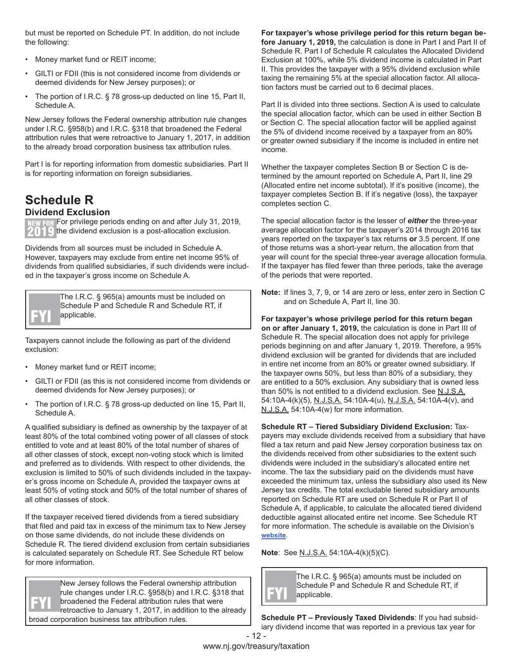but must be reported on Schedule PT. In addition, do not include the following:

- Money market fund or REIT income;
- GILTI or FDII (this is not considered income from dividends or deemed dividends for New Jersey purposes); or
- The portion of I.R.C. § 78 gross-up deducted on line 15, Part II, Schedule A.

New Jersey follows the Federal ownership attribution rule changes under I.R.C. §958(b) and I.R.C. §318 that broadened the Federal attribution rules that were retroactive to January 1, 2017, in addition to the already broad corporation business tax attribution rules.

Part I is for reporting information from domestic subsidiaries. Part II is for reporting information on foreign subsidiaries.

#### **Schedule R Dividend Exclusion**

**NEW FOR For privilege periods ending on and after July 31, 2019,**  $2019$  the dividend exclusion is a post-allocation exclusion.

Dividends from all sources must be included in Schedule A. However, taxpayers may exclude from entire net income 95% of dividends from qualified subsidiaries, if such dividends were included in the taxpayer's gross income on Schedule A.



The I.R.C. § 965(a) amounts must be included on Schedule P and Schedule R and Schedule RT, if applicable.

Taxpayers cannot include the following as part of the dividend exclusion:

- Money market fund or REIT income;
- GILTI or FDII (as this is not considered income from dividends or deemed dividends for New Jersey purposes); or
- The portion of I.R.C. § 78 gross-up deducted on line 15, Part II, Schedule A.

A qualified subsidiary is defined as ownership by the taxpayer of at least 80% of the total combined voting power of all classes of stock entitled to vote and at least 80% of the total number of shares of all other classes of stock, except non-voting stock which is limited and preferred as to dividends. With respect to other dividends, the exclusion is limited to 50% of such dividends included in the taxpayer's gross income on Schedule A, provided the taxpayer owns at least 50% of voting stock and 50% of the total number of shares of all other classes of stock.

If the taxpayer received tiered dividends from a tiered subsidiary that filed and paid tax in excess of the minimum tax to New Jersey on those same dividends, do not include these dividends on Schedule R. The tiered dividend exclusion from certain subsidiaries is calculated separately on Schedule RT. See Schedule RT below for more information.

New Jersey follows the Federal ownership attribution rule changes under I.R.C. §958(b) and I.R.C. §318 that broadened the Federal attribution rules that were retroactive to January 1, 2017, in addition to the already broad corporation business tax attribution rules.

**For taxpayer's whose privilege period for this return began before January 1, 2019,** the calculation is done in Part I and Part II of Schedule R. Part I of Schedule R calculates the Allocated Dividend Exclusion at 100%, while 5% dividend income is calculated in Part II. This provides the taxpayer with a 95% dividend exclusion while taxing the remaining 5% at the special allocation factor. All allocation factors must be carried out to 6 decimal places.

Part II is divided into three sections. Section A is used to calculate the special allocation factor, which can be used in either Section B or Section C. The special allocation factor will be applied against the 5% of dividend income received by a taxpayer from an 80% or greater owned subsidiary if the income is included in entire net income.

Whether the taxpayer completes Section B or Section C is determined by the amount reported on Schedule A, Part II, line 29 (Allocated entire net income subtotal). If it's positive (income), the taxpayer completes Section B. If it's negative (loss), the taxpayer completes section C.

The special allocation factor is the lesser of *either* the three-year average allocation factor for the taxpayer's 2014 through 2016 tax years reported on the taxpayer's tax returns **or** 3.5 percent. If one of those returns was a short-year return, the allocation from that year will count for the special three-year average allocation formula. If the taxpayer has filed fewer than three periods, take the average of the periods that were reported.

**Note:** If lines 3, 7, 9, or 14 are zero or less, enter zero in Section C and on Schedule A, Part II, line 30.

**For taxpayer's whose privilege period for this return began on or after January 1, 2019,** the calculation is done in Part III of Schedule R. The special allocation does not apply for privilege periods beginning on and after January 1, 2019. Therefore, a 95% dividend exclusion will be granted for dividends that are included in entire net income from an 80% or greater owned subsidiary. If the taxpayer owns 50%, but less than 80% of a subsidiary, they are entitled to a 50% exclusion. Any subsidiary that is owned less than 50% is not entitled to a dividend exclusion. See N.J.S.A. 54:10A-4(k)(5), N.J.S.A. 54:10A-4(u), N.J.S.A. 54:10A-4(v), and N.J.S.A. 54:10A-4(w) for more information.

**Schedule RT – Tiered Subsidiary Dividend Exclusion:** Taxpayers may exclude dividends received from a subsidiary that have filed a tax return and paid New Jersey corporation business tax on the dividends received from other subsidiaries to the extent such dividends were included in the subsidiary's allocated entire net income. The tax the subsidiary paid on the dividends must have exceeded the minimum tax, unless the subsidiary also used its New Jersey tax credits. The total excludable tiered subsidiary amounts reported on Schedule RT are used on Schedule R or Part II of Schedule A, if applicable, to calculate the allocated tiered dividend deductible against allocated entire net income. See Schedule RT for more information. The schedule is available on the Division's **[website](https://www.state.nj.us/treasury/taxation/prntcbt.shtml)**.

**Note**: See N.J.S.A. 54:10A-4(k)(5)(C).



The I.R.C. § 965(a) amounts must be included on Schedule P and Schedule R and Schedule RT, if applicable.

**Schedule PT – Previously Taxed Dividends**: If you had subsidiary dividend income that was reported in a previous tax year for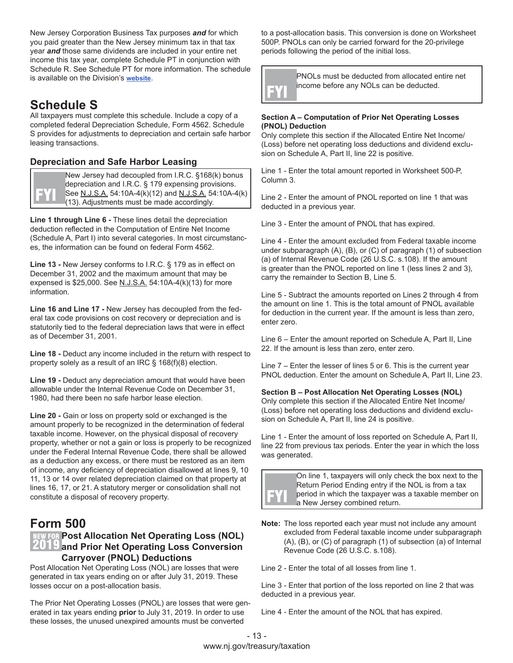New Jersey Corporation Business Tax purposes *and* for which you paid greater than the New Jersey minimum tax in that tax year *and* those same dividends are included in your entire net income this tax year, complete Schedule PT in conjunction with Schedule R. See Schedule PT for more information. The schedule is available on the Division's **[website](https://www.state.nj.us/treasury/taxation/prntcbt.shtml)**.

### **Schedule S**

All taxpayers must complete this schedule. Include a copy of a completed federal Depreciation Schedule, Form 4562. Schedule S provides for adjustments to depreciation and certain safe harbor leasing transactions.

#### **Depreciation and Safe Harbor Leasing**

New Jersey had decoupled from I.R.C. §168(k) bonus depreciation and I.R.C. § 179 expensing provisions. See N.J.S.A. 54:10A-4(k)(12) and N.J.S.A. 54:10A-4(k)  $(13)$ . Adjustments must be made accordingly.

**Line 1 through Line 6 -** These lines detail the depreciation deduction reflected in the Computation of Entire Net Income (Schedule A, Part I) into several categories. In most circumstances, the information can be found on federal Form 4562.

**Line 13 -** New Jersey conforms to I.R.C. § 179 as in effect on December 31, 2002 and the maximum amount that may be expensed is \$25,000. See N.J.S.A. 54:10A-4(k)(13) for more information.

**Line 16 and Line 17 -** New Jersey has decoupled from the federal tax code provisions on cost recovery or depreciation and is statutorily tied to the federal depreciation laws that were in effect as of December 31, 2001.

**Line 18 -** Deduct any income included in the return with respect to property solely as a result of an IRC § 168(f)(8) election.

**Line 19 -** Deduct any depreciation amount that would have been allowable under the Internal Revenue Code on December 31, 1980, had there been no safe harbor lease election.

**Line 20 -** Gain or loss on property sold or exchanged is the amount properly to be recognized in the determination of federal taxable income. However, on the physical disposal of recovery property, whether or not a gain or loss is properly to be recognized under the Federal Internal Revenue Code, there shall be allowed as a deduction any excess, or there must be restored as an item of income, any deficiency of depreciation disallowed at lines 9, 10 11, 13 or 14 over related depreciation claimed on that property at lines 16, 17, or 21. A statutory merger or consolidation shall not constitute a disposal of recovery property.

### **Form 500**

#### **NEW FOR Post Allocation Net Operating Loss (NOL) 2019** and Prior Net Operating Loss Conversion **Carryover (PNOL) Deductions**

Post Allocation Net Operating Loss (NOL) are losses that were generated in tax years ending on or after July 31, 2019. These losses occur on a post-allocation basis.

The Prior Net Operating Losses (PNOL) are losses that were generated in tax years ending **prior** to July 31, 2019. In order to use these losses, the unused unexpired amounts must be converted

to a post-allocation basis. This conversion is done on Worksheet 500P. PNOLs can only be carried forward for the 20-privilege periods following the period of the initial loss.

PNOLs must be deducted from allocated entire net income before any NOLs can be deducted.

#### **Section A – Computation of Prior Net Operating Losses (PNOL) Deduction**

Only complete this section if the Allocated Entire Net Income/ (Loss) before net operating loss deductions and dividend exclusion on Schedule A, Part II, line 22 is positive.

Line 1 - Enter the total amount reported in Worksheet 500-P, Column 3.

Line 2 - Enter the amount of PNOL reported on line 1 that was deducted in a previous year.

Line 3 - Enter the amount of PNOL that has expired.

Line 4 - Enter the amount excluded from Federal taxable income under subparagraph (A), (B), or (C) of paragraph (1) of subsection (a) of Internal Revenue Code (26 U.S.C. s.108). If the amount is greater than the PNOL reported on line 1 (less lines 2 and 3), carry the remainder to Section B, Line 5.

Line 5 - Subtract the amounts reported on Lines 2 through 4 from the amount on line 1. This is the total amount of PNOL available for deduction in the current year. If the amount is less than zero, enter zero.

Line 6 – Enter the amount reported on Schedule A, Part II, Line 22. If the amount is less than zero, enter zero.

Line 7 – Enter the lesser of lines 5 or 6. This is the current year PNOL deduction. Enter the amount on Schedule A, Part II, Line 23.

#### **Section B – Post Allocation Net Operating Losses (NOL)**

Only complete this section if the Allocated Entire Net Income/ (Loss) before net operating loss deductions and dividend exclusion on Schedule A, Part II, line 24 is positive.

Line 1 - Enter the amount of loss reported on Schedule A, Part II, line 22 from previous tax periods. Enter the year in which the loss was generated.



On line 1, taxpayers will only check the box next to the Return Period Ending entry if the NOL is from a tax period in which the taxpayer was a taxable member on a New Jersey combined return.

**Note:** The loss reported each year must not include any amount excluded from Federal taxable income under subparagraph (A), (B), or (C) of paragraph (1) of subsection (a) of Internal Revenue Code (26 U.S.C. s.108).

Line 2 - Enter the total of all losses from line 1.

Line 3 - Enter that portion of the loss reported on line 2 that was deducted in a previous year.

Line 4 - Enter the amount of the NOL that has expired.